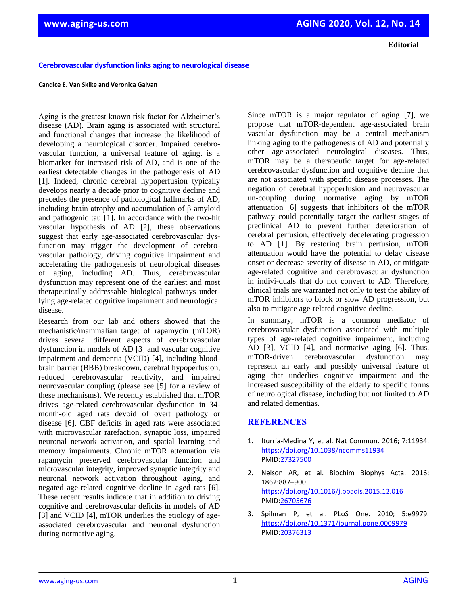**Editorial**

## **Cerebrovascular dysfunction links aging to neurological disease**

## **Candice E. Van Skike and Veronica Galvan**

Aging is the greatest known risk factor for Alzheimer's disease (AD). Brain aging is associated with structural and functional changes that increase the likelihood of developing a neurological disorder. Impaired cerebrovascular function, a universal feature of aging, is a biomarker for increased risk of AD, and is one of the earliest detectable changes in the pathogenesis of AD [1]. Indeed, chronic cerebral hypoperfusion typically develops nearly a decade prior to cognitive decline and precedes the presence of pathological hallmarks of AD, including brain atrophy and accumulation of β-amyloid and pathogenic tau [1]. In accordance with the two-hit vascular hypothesis of AD [2], these observations suggest that early age-associated cerebrovascular dysfunction may trigger the development of cerebrovascular pathology, driving cognitive impairment and accelerating the pathogenesis of neurological diseases of aging, including AD. Thus, cerebrovascular dysfunction may represent one of the earliest and most therapeutically addressable biological pathways underlying age-related cognitive impairment and neurological disease.

Research from our lab and others showed that the mechanistic/mammalian target of rapamycin (mTOR) drives several different aspects of cerebrovascular dysfunction in models of AD [3] and vascular cognitive impairment and dementia (VCID) [4], including bloodbrain barrier (BBB) breakdown, cerebral hypoperfusion, reduced cerebrovascular reactivity, and impaired neurovascular coupling (please see [5] for a review of these mechanisms). We recently established that mTOR drives age-related cerebrovascular dysfunction in 34 month-old aged rats devoid of overt pathology or disease [6]. CBF deficits in aged rats were associated with microvascular rarefaction, synaptic loss, impaired neuronal network activation, and spatial learning and memory impairments. Chronic mTOR attenuation via rapamycin preserved cerebrovascular function and microvascular integrity, improved synaptic integrity and neuronal network activation throughout aging, and negated age-related cognitive decline in aged rats [6]. These recent results indicate that in addition to driving cognitive and cerebrovascular deficits in models of AD [3] and VCID [4], mTOR underlies the etiology of ageassociated cerebrovascular and neuronal dysfunction during normative aging.

Since mTOR is a major regulator of aging [7], we propose that mTOR-dependent age-associated brain vascular dysfunction may be a central mechanism linking aging to the pathogenesis of AD and potentially other age-associated neurological diseases. Thus, mTOR may be a therapeutic target for age-related cerebrovascular dysfunction and cognitive decline that are not associated with specific disease processes. The negation of cerebral hypoperfusion and neurovascular un-coupling during normative aging by mTOR attenuation [6] suggests that inhibitors of the mTOR pathway could potentially target the earliest stages of preclinical AD to prevent further deterioration of cerebral perfusion, effectively decelerating progression to AD [1]. By restoring brain perfusion, mTOR attenuation would have the potential to delay disease onset or decrease severity of disease in AD, or mitigate age-related cognitive and cerebrovascular dysfunction in indivi-duals that do not convert to AD. Therefore, clinical trials are warranted not only to test the ability of mTOR inhibitors to block or slow AD progression, but also to mitigate age-related cognitive decline.

In summary, mTOR is a common mediator of cerebrovascular dysfunction associated with multiple types of age-related cognitive impairment, including AD [3], VCID [4], and normative aging [6]. Thus, mTOR-driven cerebrovascular dysfunction may represent an early and possibly universal feature of aging that underlies cognitive impairment and the increased susceptibility of the elderly to specific forms of neurological disease, including but not limited to AD and related dementias.

## **REFERENCES**

- 1. Iturria-Medina Y, et al. Nat Commun. 2016; 7:11934. <https://doi.org/10.1038/ncomms11934> PMID[:27327500](https://www.ncbi.nlm.nih.gov/entrez/query.fcgi?cmd=Retrieve&db=PubMed&list_uids=27327500&dopt=Abstract)
- 2. Nelson AR, et al. Biochim Biophys Acta. 2016; 1862:887–900. <https://doi.org/10.1016/j.bbadis.2015.12.016> PMID[:26705676](https://www.ncbi.nlm.nih.gov/entrez/query.fcgi?cmd=Retrieve&db=PubMed&list_uids=26705676&dopt=Abstract)
- 3. Spilman P, et al. PLoS One. 2010; 5:e9979. <https://doi.org/10.1371/journal.pone.0009979> PMID[:20376313](https://www.ncbi.nlm.nih.gov/entrez/query.fcgi?cmd=Retrieve&db=PubMed&list_uids=20376313&dopt=Abstract)